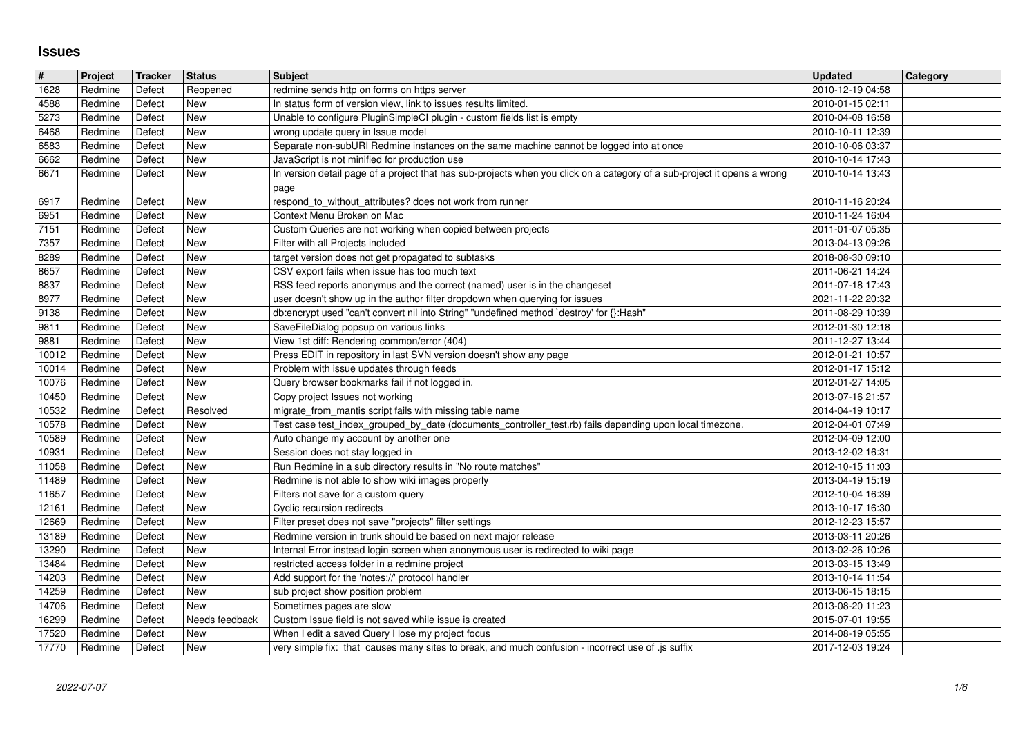## **Issues**

| $\sqrt{\frac{4}{15}}$ | Project            | Tracker          | Status                   | <b>Subject</b>                                                                                                                                                          | <b>Updated</b>                       | <b>Category</b> |
|-----------------------|--------------------|------------------|--------------------------|-------------------------------------------------------------------------------------------------------------------------------------------------------------------------|--------------------------------------|-----------------|
| 1628                  | Redmine            | Defect           | Reopened                 | redmine sends http on forms on https server                                                                                                                             | 2010-12-19 04:58                     |                 |
| 4588<br>5273          | Redmine<br>Redmine | Defect<br>Defect | <b>New</b><br><b>New</b> | In status form of version view, link to issues results limited.<br>Unable to configure PluginSimpleCI plugin - custom fields list is empty                              | 2010-01-15 02:11<br>2010-04-08 16:58 |                 |
| 6468                  | Redmine            | Defect           | <b>New</b>               | wrong update query in Issue model                                                                                                                                       | 2010-10-11 12:39                     |                 |
| 6583                  | Redmine            | Defect           | <b>New</b>               | Separate non-subURI Redmine instances on the same machine cannot be logged into at once                                                                                 | 2010-10-06 03:37                     |                 |
| 6662                  | Redmine            | Defect           | New                      | JavaScript is not minified for production use                                                                                                                           | 2010-10-14 17:43                     |                 |
| 6671                  | Redmine            | Defect           | New                      | In version detail page of a project that has sub-projects when you click on a category of a sub-project it opens a wrong<br>page                                        | 2010-10-14 13:43                     |                 |
| 6917                  | Redmine            | Defect           | <b>New</b>               | respond_to_without_attributes? does not work from runner                                                                                                                | 2010-11-16 20:24                     |                 |
| 6951                  | Redmine            | Defect           | <b>New</b>               | Context Menu Broken on Mac                                                                                                                                              | 2010-11-24 16:04                     |                 |
| 7151<br>7357          | Redmine            | Defect           | <b>New</b><br><b>New</b> | Custom Queries are not working when copied between projects<br>Filter with all Projects included                                                                        | 2011-01-07 05:35<br>2013-04-13 09:26 |                 |
| 8289                  | Redmine<br>Redmine | Defect<br>Defect | <b>New</b>               | target version does not get propagated to subtasks                                                                                                                      | 2018-08-30 09:10                     |                 |
| 8657                  | Redmine            | Defect           | New                      | CSV export fails when issue has too much text                                                                                                                           | 2011-06-21 14:24                     |                 |
| 8837                  | Redmine            | Defect           | <b>New</b>               | RSS feed reports anonymus and the correct (named) user is in the changeset                                                                                              | 2011-07-18 17:43                     |                 |
| 8977<br>9138          | Redmine<br>Redmine | Defect<br>Defect | <b>New</b><br>New        | user doesn't show up in the author filter dropdown when querying for issues<br>db:encrypt used "can't convert nil into String" "undefined method `destroy' for {}:Hash" | 2021-11-22 20:32<br>2011-08-29 10:39 |                 |
| 9811                  | Redmine            | Defect           | <b>New</b>               | SaveFileDialog popsup on various links                                                                                                                                  | 2012-01-30 12:18                     |                 |
| 9881                  | Redmine            | Defect           | <b>New</b>               | View 1st diff: Rendering common/error (404)                                                                                                                             | 2011-12-27 13:44                     |                 |
| 10012<br>10014        | Redmine<br>Redmine | Defect<br>Defect | <b>New</b><br><b>New</b> | Press EDIT in repository in last SVN version doesn't show any page<br>Problem with issue updates through feeds                                                          | 2012-01-21 10:57<br>2012-01-17 15:12 |                 |
| 10076                 | Redmine            | Defect           | <b>New</b>               | Query browser bookmarks fail if not logged in.                                                                                                                          | 2012-01-27 14:05                     |                 |
| 10450                 | Redmine            | Defect           | <b>New</b>               | Copy project Issues not working                                                                                                                                         | 2013-07-16 21:57                     |                 |
| 10532<br>10578        | Redmine<br>Redmine | Defect<br>Defect | Resolved<br><b>New</b>   | migrate_from_mantis script fails with missing table name<br>Test case test_index_grouped_by_date (documents_controller_test.rb) fails depending upon local timezone.    | 2014-04-19 10:17<br>2012-04-01 07:49 |                 |
| 10589                 | Redmine            | Defect           | <b>New</b>               | Auto change my account by another one                                                                                                                                   | 2012-04-09 12:00                     |                 |
| 10931                 | Redmine            | Defect           | <b>New</b>               | Session does not stay logged in                                                                                                                                         | 2013-12-02 16:31                     |                 |
| 11058                 | Redmine            | Defect           | <b>New</b>               | Run Redmine in a sub directory results in "No route matches"                                                                                                            | 2012-10-15 11:03                     |                 |
| 11489<br>11657        | Redmine<br>Redmine | Defect<br>Defect | <b>New</b><br><b>New</b> | Redmine is not able to show wiki images properly<br>Filters not save for a custom query                                                                                 | 2013-04-19 15:19<br>2012-10-04 16:39 |                 |
| 12161                 | Redmine            | Defect           | <b>New</b>               | Cyclic recursion redirects                                                                                                                                              | 2013-10-17 16:30                     |                 |
| 12669                 | Redmine            | Defect           | <b>New</b>               | Filter preset does not save "projects" filter settings                                                                                                                  | 2012-12-23 15:57                     |                 |
| 13189<br>13290        | Redmine<br>Redmine | Defect<br>Defect | <b>New</b><br><b>New</b> | Redmine version in trunk should be based on next major release<br>Internal Error instead login screen when anonymous user is redirected to wiki page                    | 2013-03-11 20:26<br>2013-02-26 10:26 |                 |
| 13484                 | Redmine            | Defect           | <b>New</b>               | restricted access folder in a redmine project                                                                                                                           | 2013-03-15 13:49                     |                 |
| 14203                 | Redmine            | Defect           | <b>New</b>               | Add support for the 'notes://' protocol handler                                                                                                                         | 2013-10-14 11:54                     |                 |
| 14259<br>14706        | Redmine<br>Redmine | Defect<br>Defect | <b>New</b><br><b>New</b> | sub project show position problem<br>Sometimes pages are slow                                                                                                           | 2013-06-15 18:15<br>2013-08-20 11:23 |                 |
| 16299                 | Redmine Defect     |                  | Needs feedback           | Custom Issue field is not saved while issue is created                                                                                                                  | 2015-07-01 19:55                     |                 |
| 17520<br>17770        | Redmine<br>Redmine | Defect<br>Defect | New<br>New               | When I edit a saved Query I lose my project focus<br>very simple fix: that causes many sites to break, and much confusion - incorrect use of .js suffix                 | 2014-08-19 05:55<br>2017-12-03 19:24 |                 |
|                       |                    |                  |                          |                                                                                                                                                                         |                                      |                 |
|                       |                    |                  |                          |                                                                                                                                                                         |                                      |                 |
|                       |                    |                  |                          |                                                                                                                                                                         |                                      |                 |
|                       |                    |                  |                          |                                                                                                                                                                         |                                      |                 |
|                       |                    |                  |                          |                                                                                                                                                                         |                                      |                 |
|                       |                    |                  |                          |                                                                                                                                                                         |                                      |                 |
|                       |                    |                  |                          |                                                                                                                                                                         |                                      |                 |
|                       |                    |                  |                          |                                                                                                                                                                         |                                      |                 |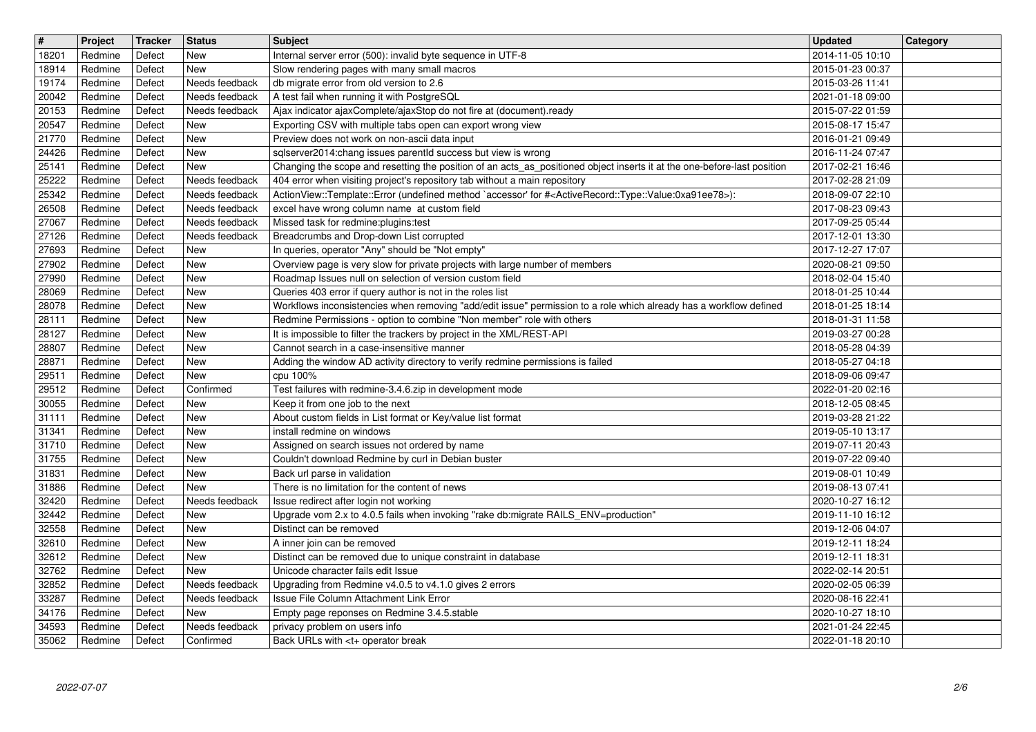| $\overline{\mathbf{H}}$ | Project            | Tracker          | <b>Status</b>                    | <b>Subject</b>                                                                                                                                                                                | <b>Updated</b><br><b>Category</b>    |
|-------------------------|--------------------|------------------|----------------------------------|-----------------------------------------------------------------------------------------------------------------------------------------------------------------------------------------------|--------------------------------------|
| 18201<br>18914          | Redmine<br>Redmine | Defect<br>Defect | New<br>New                       | Internal server error (500): invalid byte sequence in UTF-8<br>Slow rendering pages with many small macros                                                                                    | 2014-11-05 10:10<br>2015-01-23 00:37 |
| 19174                   | Redmine            | Defect           | Needs feedback                   | db migrate error from old version to 2.6                                                                                                                                                      | 2015-03-26 11:41                     |
| 20042<br>20153          | Redmine<br>Redmine | Defect<br>Defect | Needs feedback<br>Needs feedback | A test fail when running it with PostgreSQL<br>Ajax indicator ajaxComplete/ajaxStop do not fire at (document).ready                                                                           | 2021-01-18 09:00<br>2015-07-22 01:59 |
| 20547                   | Redmine            | Defect           | New                              | Exporting CSV with multiple tabs open can export wrong view                                                                                                                                   | 2015-08-17 15:47                     |
| 21770                   | Redmine            | Defect           | New                              | Preview does not work on non-ascii data input                                                                                                                                                 | 2016-01-21 09:49                     |
| 24426<br>25141          | Redmine<br>Redmine | Defect<br>Defect | New<br>New                       | sqlserver2014:chang issues parentld success but view is wrong<br>Changing the scope and resetting the position of an acts_as_positioned object inserts it at the one-before-last position     | 2016-11-24 07:47<br>2017-02-21 16:46 |
| 25222                   | Redmine            | Defect           | Needs feedback                   | 404 error when visiting project's repository tab without a main repository                                                                                                                    | 2017-02-28 21:09                     |
| 25342<br>26508          | Redmine<br>Redmine | Defect<br>Defect | Needs feedback<br>Needs feedback | ActionView::Template::Error (undefined method `accessor' for # <activerecord::type::value:0xa91ee78>):<br/>excel have wrong column name at custom field</activerecord::type::value:0xa91ee78> | 2018-09-07 22:10<br>2017-08-23 09:43 |
| 27067                   | Redmine            | Defect           | Needs feedback                   | Missed task for redmine: plugins: test                                                                                                                                                        | 2017-09-25 05:44                     |
| 27126<br>27693          | Redmine<br>Redmine | Defect<br>Defect | Needs feedback<br>New            | Breadcrumbs and Drop-down List corrupted<br>In queries, operator "Any" should be "Not empty"                                                                                                  | 2017-12-01 13:30<br>2017-12-27 17:07 |
| 27902                   | Redmine            | Defect           | New                              | Overview page is very slow for private projects with large number of members                                                                                                                  | 2020-08-21 09:50                     |
| 27990<br>28069          | Redmine<br>Redmine | Defect<br>Defect | New<br>New                       | Roadmap Issues null on selection of version custom field<br>Queries 403 error if query author is not in the roles list                                                                        | 2018-02-04 15:40<br>2018-01-25 10:44 |
| 28078                   | Redmine            | Defect           | <b>New</b>                       | Workflows inconsistencies when removing "add/edit issue" permission to a role which already has a workflow defined                                                                            | 2018-01-25 18:14                     |
| 28111<br>28127          | Redmine<br>Redmine | Defect<br>Defect | New<br>New                       | Redmine Permissions - option to combine "Non member" role with others<br>It is impossible to filter the trackers by project in the XML/REST-API                                               | 2018-01-31 11:58<br>2019-03-27 00:28 |
| 28807                   | Redmine            | Defect           | New                              | Cannot search in a case-insensitive manner                                                                                                                                                    | 2018-05-28 04:39                     |
| 28871                   | Redmine            | Defect           | New                              | Adding the window AD activity directory to verify redmine permissions is failed                                                                                                               | 2018-05-27 04:18                     |
| 29511<br>29512          | Redmine<br>Redmine | Defect<br>Defect | New<br>Confirmed                 | cpu 100%<br>Test failures with redmine-3.4.6.zip in development mode                                                                                                                          | 2018-09-06 09:47<br>2022-01-20 02:16 |
| 30055                   | Redmine            | Defect           | New                              | Keep it from one job to the next                                                                                                                                                              | 2018-12-05 08:45                     |
| 31111<br>31341          | Redmine<br>Redmine | Defect<br>Defect | New<br>New                       | About custom fields in List format or Key/value list format<br>install redmine on windows                                                                                                     | 2019-03-28 21:22<br>2019-05-10 13:17 |
| 31710                   | Redmine            | Defect           | New                              | Assigned on search issues not ordered by name                                                                                                                                                 | 2019-07-11 20:43                     |
| 31755<br>31831          | Redmine<br>Redmine | Defect<br>Defect | New<br>New                       | Couldn't download Redmine by curl in Debian buster<br>Back url parse in validation                                                                                                            | 2019-07-22 09:40<br>2019-08-01 10:49 |
| 31886                   | Redmine            | Defect           | New                              | There is no limitation for the content of news                                                                                                                                                | 2019-08-13 07:41                     |
| 32420                   | Redmine            | Defect           | Needs feedback                   | Issue redirect after login not working                                                                                                                                                        | 2020-10-27 16:12                     |
| 32442<br>32558          | Redmine<br>Redmine | Defect<br>Defect | New<br>New                       | Upgrade vom 2.x to 4.0.5 fails when invoking "rake db:migrate RAILS_ENV=production"<br>Distinct can be removed                                                                                | 2019-11-10 16:12<br>2019-12-06 04:07 |
| 32610                   | Redmine            | Defect           | <b>New</b>                       | A inner join can be removed                                                                                                                                                                   | 2019-12-11 18:24                     |
| 32612<br>32762          | Redmine<br>Redmine | Defect<br>Defect | <b>New</b><br>New                | Distinct can be removed due to unique constraint in database<br>Unicode character fails edit Issue                                                                                            | 2019-12-11 18:31<br>2022-02-14 20:51 |
| 32852                   | Redmine            | Defect           | Needs feedback                   | Upgrading from Redmine v4.0.5 to v4.1.0 gives 2 errors                                                                                                                                        | 2020-02-05 06:39                     |
| 33287<br>34176          | Redmine<br>Redmine | Defect<br>Defect | Needs feedback<br>New            | Issue File Column Attachment Link Error<br>Empty page reponses on Redmine 3.4.5.stable                                                                                                        | 2020-08-16 22:41<br>2020-10-27 18:10 |
| 34593                   | Redmine            | Defect           | Needs feedback                   | privacy problem on users info                                                                                                                                                                 | 2021-01-24 22:45                     |
| 35062                   | Redmine            | Defect           | Confirmed                        | Back URLs with <t+ break<="" operator="" td=""><td>2022-01-18 20:10</td></t+>                                                                                                                 | 2022-01-18 20:10                     |
|                         |                    |                  |                                  |                                                                                                                                                                                               |                                      |
|                         |                    |                  |                                  |                                                                                                                                                                                               |                                      |
|                         |                    |                  |                                  |                                                                                                                                                                                               |                                      |
|                         |                    |                  |                                  |                                                                                                                                                                                               |                                      |
|                         |                    |                  |                                  |                                                                                                                                                                                               |                                      |
|                         |                    |                  |                                  |                                                                                                                                                                                               |                                      |
|                         |                    |                  |                                  |                                                                                                                                                                                               |                                      |
|                         |                    |                  |                                  |                                                                                                                                                                                               |                                      |
|                         |                    |                  |                                  |                                                                                                                                                                                               |                                      |
|                         |                    |                  |                                  |                                                                                                                                                                                               |                                      |
|                         |                    |                  |                                  |                                                                                                                                                                                               |                                      |
|                         |                    |                  |                                  |                                                                                                                                                                                               |                                      |
|                         |                    |                  |                                  |                                                                                                                                                                                               |                                      |
|                         |                    |                  |                                  |                                                                                                                                                                                               |                                      |
|                         |                    |                  |                                  |                                                                                                                                                                                               |                                      |
|                         |                    |                  |                                  |                                                                                                                                                                                               |                                      |
|                         |                    |                  |                                  |                                                                                                                                                                                               |                                      |
|                         |                    |                  |                                  |                                                                                                                                                                                               |                                      |
|                         |                    |                  |                                  |                                                                                                                                                                                               |                                      |
|                         |                    |                  |                                  |                                                                                                                                                                                               |                                      |
|                         |                    |                  |                                  |                                                                                                                                                                                               |                                      |
|                         |                    |                  |                                  |                                                                                                                                                                                               |                                      |
|                         |                    |                  |                                  |                                                                                                                                                                                               |                                      |
|                         |                    |                  |                                  |                                                                                                                                                                                               |                                      |
|                         |                    |                  |                                  |                                                                                                                                                                                               |                                      |
|                         |                    |                  |                                  |                                                                                                                                                                                               |                                      |
|                         |                    |                  |                                  |                                                                                                                                                                                               |                                      |
|                         |                    |                  |                                  |                                                                                                                                                                                               |                                      |
|                         |                    |                  |                                  |                                                                                                                                                                                               |                                      |
|                         |                    |                  |                                  |                                                                                                                                                                                               |                                      |
|                         |                    |                  |                                  |                                                                                                                                                                                               |                                      |
|                         |                    |                  |                                  |                                                                                                                                                                                               |                                      |
|                         |                    |                  |                                  |                                                                                                                                                                                               |                                      |
|                         |                    |                  |                                  |                                                                                                                                                                                               |                                      |
|                         |                    |                  |                                  |                                                                                                                                                                                               |                                      |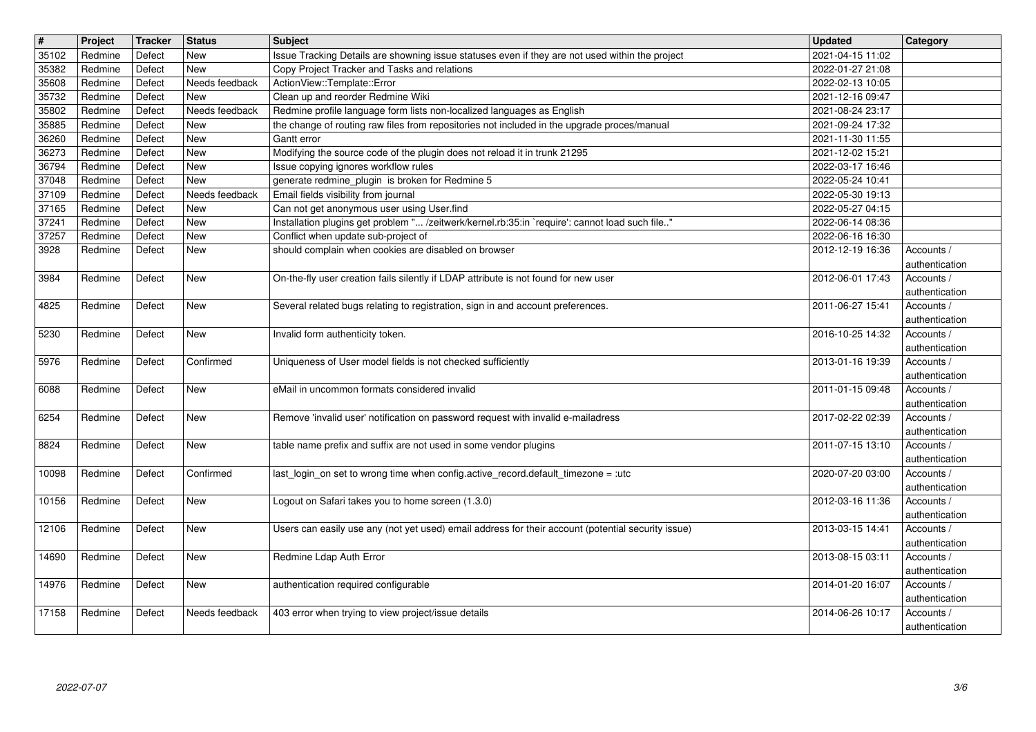| $\overline{\mathbf{t}}$ | Project              | Tracker          | <b>Status</b><br>New         | <b>Subject</b>                                                                                                                                  | Updated<br>2021-04-15 11:02          | Category                                       |
|-------------------------|----------------------|------------------|------------------------------|-------------------------------------------------------------------------------------------------------------------------------------------------|--------------------------------------|------------------------------------------------|
| 35102<br>35382          | Redmine<br>Redmine   | Defect<br>Defect | <b>New</b>                   | Issue Tracking Details are showning issue statuses even if they are not used within the project<br>Copy Project Tracker and Tasks and relations | 2022-01-27 21:08                     |                                                |
| 35608<br>35732          | Redmine<br>Redmine   | Defect<br>Defect | Needs feedback<br><b>New</b> | ActionView::Template::Error<br>Clean up and reorder Redmine Wiki                                                                                | 2022-02-13 10:05<br>2021-12-16 09:47 |                                                |
| 35802                   | Redmine              | Defect           | Needs feedback               | Redmine profile language form lists non-localized languages as English                                                                          | 2021-08-24 23:17                     |                                                |
| 35885<br>36260          | Redmine<br>Redmine   | Defect<br>Defect | <b>New</b><br><b>New</b>     | the change of routing raw files from repositories not included in the upgrade proces/manual<br>Gantt error                                      | 2021-09-24 17:32<br>2021-11-30 11:55 |                                                |
| 36273                   | Redmine              | Defect           | <b>New</b>                   | Modifying the source code of the plugin does not reload it in trunk 21295                                                                       | 2021-12-02 15:21                     |                                                |
| 36794<br>37048          | Redmine<br>Redmine   | Defect<br>Defect | New<br><b>New</b>            | Issue copying ignores workflow rules<br>generate redmine_plugin is broken for Redmine 5                                                         | 2022-03-17 16:46<br>2022-05-24 10:41 |                                                |
| 37109                   | Redmine              | Defect           | Needs feedback               | Email fields visibility from journal                                                                                                            | 2022-05-30 19:13                     |                                                |
| 37165<br>37241          | Redmine<br>Redmine   | Defect<br>Defect | <b>New</b><br><b>New</b>     | Can not get anonymous user using User.find<br>Installation plugins get problem " /zeitwerk/kernel.rb:35:in `require': cannot load such file"    | 2022-05-27 04:15<br>2022-06-14 08:36 |                                                |
| 37257<br>3928           | Redmine<br>Redmine   | Defect<br>Defect | New<br><b>New</b>            | Conflict when update sub-project of<br>should complain when cookies are disabled on browser                                                     | 2022-06-16 16:30<br>2012-12-19 16:36 | Accounts /                                     |
|                         |                      |                  |                              |                                                                                                                                                 |                                      | authentication                                 |
| 3984                    | Redmine              | Defect           | New                          | On-the-fly user creation fails silently if LDAP attribute is not found for new user                                                             | 2012-06-01 17:43                     | Accounts /<br>authentication                   |
| 4825                    | Redmine              | Defect           | New                          | Several related bugs relating to registration, sign in and account preferences.                                                                 | 2011-06-27 15:41                     | Accounts /<br>authentication                   |
| 5230                    | Redmine              | Defect           | <b>New</b>                   | Invalid form authenticity token.                                                                                                                | 2016-10-25 14:32                     | Accounts /<br>authentication                   |
| 5976                    | Redmine              | Defect           | Confirmed                    | Uniqueness of User model fields is not checked sufficiently                                                                                     | 2013-01-16 19:39                     | Accounts /<br>authentication                   |
| 6088                    | Redmine              | Defect           | <b>New</b>                   | eMail in uncommon formats considered invalid                                                                                                    | 2011-01-15 09:48                     | Accounts /<br>authentication                   |
| 6254                    | Redmine              | Defect           | New                          | Remove 'invalid user' notification on password request with invalid e-mailadress                                                                | 2017-02-22 02:39                     | Accounts /<br>authentication                   |
| 8824                    | Redmine              | Defect           | New                          | table name prefix and suffix are not used in some vendor plugins                                                                                | 2011-07-15 13:10                     | Accounts /<br>authentication                   |
| 10098                   | Redmine              | Defect           | Confirmed                    | last_login_on set to wrong time when config.active_record.default_timezone = :utc                                                               | 2020-07-20 03:00                     | Accounts /<br>authentication                   |
| 10156                   | Redmine              | Defect           | New                          | Logout on Safari takes you to home screen (1.3.0)                                                                                               | 2012-03-16 11:36                     | Accounts /                                     |
| 12106                   | Redmine              | Defect           | <b>New</b>                   | Users can easily use any (not yet used) email address for their account (potential security issue)                                              | 2013-03-15 14:41                     | authentication<br>Accounts /                   |
| 14690                   | Redmine              | Defect           | <b>New</b>                   | Redmine Ldap Auth Error                                                                                                                         | 2013-08-15 03:11                     | authentication<br>Accounts /                   |
|                         | 14976 Redmine Defect |                  | New                          | authentication required configurable                                                                                                            | 2014-01-20 16:07 Accounts /          | authentication                                 |
| 17158                   | Redmine              | Defect           | Needs feedback               | 403 error when trying to view project/issue details                                                                                             | 2014-06-26 10:17                     | authentication<br>Accounts /<br>authentication |
|                         |                      |                  |                              |                                                                                                                                                 |                                      |                                                |
|                         |                      |                  |                              |                                                                                                                                                 |                                      |                                                |
|                         |                      |                  |                              |                                                                                                                                                 |                                      |                                                |
|                         |                      |                  |                              |                                                                                                                                                 |                                      |                                                |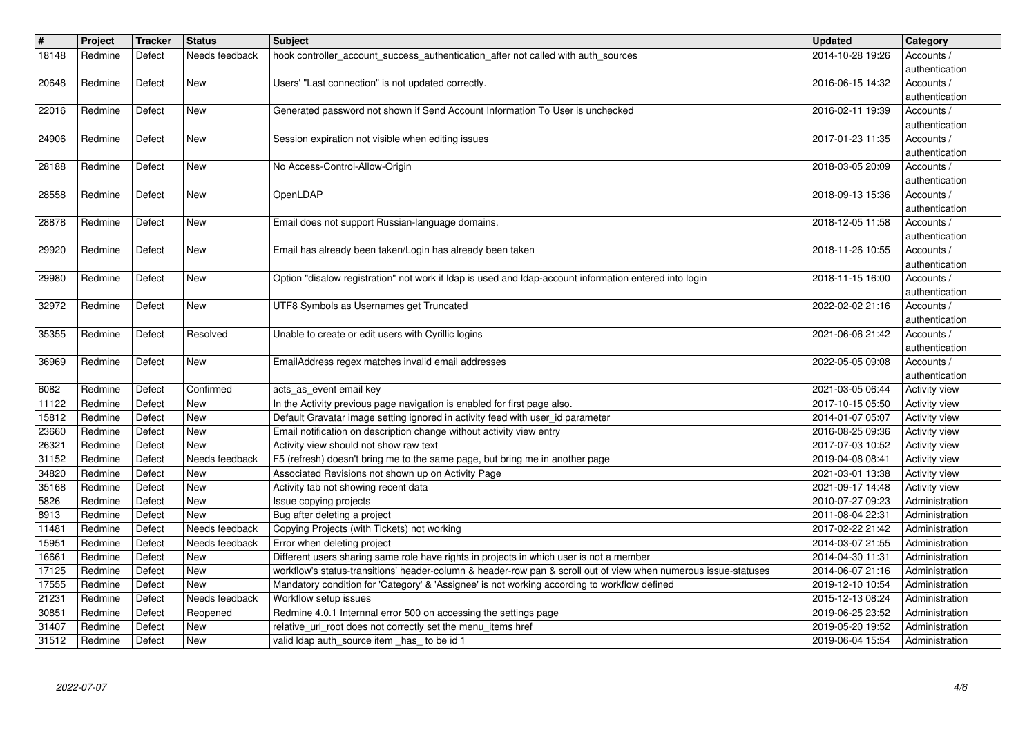| $\overline{\mathbf{H}}$ | Project            | <b>Tracker</b>   | <b>Status</b>              | Subject                                                                                                                                                                                                    | <b>Updated</b>                       | Category                               |
|-------------------------|--------------------|------------------|----------------------------|------------------------------------------------------------------------------------------------------------------------------------------------------------------------------------------------------------|--------------------------------------|----------------------------------------|
| 18148                   | Redmine            | Defect           | Needs feedback             | hook controller_account_success_authentication_after not called with auth_sources                                                                                                                          | 2014-10-28 19:26                     | Accounts /<br>authentication           |
| 20648                   | Redmine            | Defect           | New                        | Users' "Last connection" is not updated correctly.                                                                                                                                                         | 2016-06-15 14:32                     | Accounts /                             |
| 22016                   | Redmine            | Defect           | New                        | Generated password not shown if Send Account Information To User is unchecked                                                                                                                              | 2016-02-11 19:39                     | authentication<br>Accounts /           |
|                         |                    |                  |                            |                                                                                                                                                                                                            |                                      | authentication                         |
| 24906                   | Redmine            | Defect           | New                        | Session expiration not visible when editing issues                                                                                                                                                         | 2017-01-23 11:35                     | Accounts /                             |
| 28188                   | Redmine            | Defect           | New                        | No Access-Control-Allow-Origin                                                                                                                                                                             | 2018-03-05 20:09                     | authentication<br>Accounts /           |
|                         |                    |                  |                            |                                                                                                                                                                                                            |                                      | authentication                         |
| 28558                   | Redmine            | Defect           | <b>New</b>                 | OpenLDAP                                                                                                                                                                                                   | 2018-09-13 15:36                     | Accounts /<br>authentication           |
| 28878                   | Redmine            | Defect           | New                        | Email does not support Russian-language domains.                                                                                                                                                           | 2018-12-05 11:58                     | Accounts /                             |
| 29920                   | Redmine            | Defect           | New                        | Email has already been taken/Login has already been taken                                                                                                                                                  | 2018-11-26 10:55                     | authentication<br>Accounts /           |
|                         |                    |                  |                            |                                                                                                                                                                                                            |                                      | authentication                         |
| 29980                   | Redmine            | Defect           | New                        | Option "disalow registration" not work if Idap is used and Idap-account information entered into login                                                                                                     | 2018-11-15 16:00                     | Accounts /<br>authentication           |
| 32972                   | Redmine            | Defect           | New                        | UTF8 Symbols as Usernames get Truncated                                                                                                                                                                    | 2022-02-02 21:16                     | Accounts /                             |
| 35355                   | Redmine            | Defect           | Resolved                   | Unable to create or edit users with Cyrillic logins                                                                                                                                                        | 2021-06-06 21:42                     | authentication<br>Accounts /           |
|                         |                    |                  |                            |                                                                                                                                                                                                            |                                      | authentication                         |
| 36969                   | Redmine            | Defect           | New                        | EmailAddress regex matches invalid email addresses                                                                                                                                                         | 2022-05-05 09:08                     | Accounts /                             |
| 6082                    | Redmine            | Defect           | Confirmed                  | acts_as_event email key                                                                                                                                                                                    | 2021-03-05 06:44                     | authentication<br><b>Activity view</b> |
| 11122                   | Redmine            | Defect           | New                        | In the Activity previous page navigation is enabled for first page also.                                                                                                                                   | 2017-10-15 05:50                     | Activity view                          |
| 15812<br>23660          | Redmine<br>Redmine | Defect<br>Defect | New<br>New                 | Default Gravatar image setting ignored in activity feed with user_id parameter<br>Email notification on description change without activity view entry                                                     | 2014-01-07 05:07<br>2016-08-25 09:36 | Activity view<br>Activity view         |
| 26321                   | Redmine            | Defect           | <b>New</b>                 | Activity view should not show raw text                                                                                                                                                                     | 2017-07-03 10:52                     | Activity view                          |
| 31152<br>34820          | Redmine            | Defect           | Needs feedback             | F5 (refresh) doesn't bring me to the same page, but bring me in another page<br>Associated Revisions not shown up on Activity Page                                                                         | 2019-04-08 08:41                     | Activity view                          |
| 35168                   | Redmine<br>Redmine | Defect<br>Defect | New<br>New                 | Activity tab not showing recent data                                                                                                                                                                       | 2021-03-01 13:38<br>2021-09-17 14:48 | Activity view<br>Activity view         |
| 5826                    | Redmine            | Defect           | New                        | Issue copying projects                                                                                                                                                                                     | 2010-07-27 09:23                     | Administration                         |
| 8913<br>11481           | Redmine<br>Redmine | Defect<br>Defect | New<br>Needs feedback      | Bug after deleting a project<br>Copying Projects (with Tickets) not working                                                                                                                                | 2011-08-04 22:31<br>2017-02-22 21:42 | Administration<br>Administration       |
| 15951                   | Redmine            | Defect           | Needs feedback             | Error when deleting project                                                                                                                                                                                | 2014-03-07 21:55                     | Administration                         |
| 16661<br>17125          | Redmine<br>Redmine | Defect<br>Defect | New<br>New                 | Different users sharing same role have rights in projects in which user is not a member<br>workflow's status-transitions' header-column & header-row pan & scroll out of view when numerous issue-statuses | 2014-04-30 11:31<br>2014-06-07 21:16 | Administration<br>Administration       |
| 17555                   | Redmine            | Defect           | New                        | Mandatory condition for 'Category' & 'Assignee' is not working according to workflow defined                                                                                                               | 2019-12-10 10:54                     | Administration                         |
| 21231                   | Redmine            | Defect           | Needs feedback<br>Reopened | Workflow setup issues<br>Redmine 4.0.1 Internnal error 500 on accessing the settings page                                                                                                                  | 2015-12-13 08:24                     | Administration                         |
| 30851<br>31407          | Redmine<br>Redmine | Defect<br>Defect | New                        | relative_url_root does not correctly set the menu_items href                                                                                                                                               | 2019-06-25 23:52<br>2019-05-20 19:52 | Administration<br>Administration       |
| 31512                   | Redmine            | Defect           | New                        | valid Idap auth_source item_has_ to be id 1                                                                                                                                                                | 2019-06-04 15:54                     | Administration                         |
|                         |                    |                  |                            |                                                                                                                                                                                                            |                                      |                                        |
|                         |                    |                  |                            |                                                                                                                                                                                                            |                                      |                                        |
|                         |                    |                  |                            |                                                                                                                                                                                                            |                                      |                                        |
|                         |                    |                  |                            |                                                                                                                                                                                                            |                                      |                                        |
|                         |                    |                  |                            |                                                                                                                                                                                                            |                                      |                                        |
|                         |                    |                  |                            |                                                                                                                                                                                                            |                                      |                                        |
|                         |                    |                  |                            |                                                                                                                                                                                                            |                                      |                                        |
|                         |                    |                  |                            |                                                                                                                                                                                                            |                                      |                                        |
|                         |                    |                  |                            |                                                                                                                                                                                                            |                                      |                                        |
|                         |                    |                  |                            |                                                                                                                                                                                                            |                                      |                                        |
|                         |                    |                  |                            |                                                                                                                                                                                                            |                                      |                                        |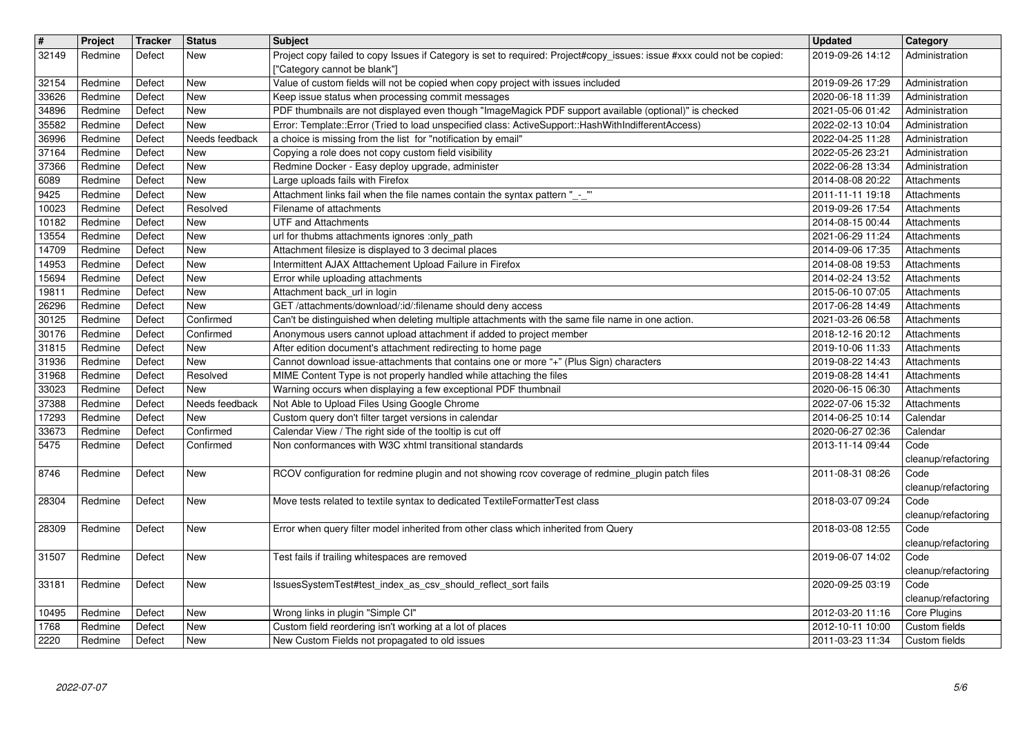| $\sqrt{t}$<br>32149   | Project<br>Redmine            | Tracker<br>Defect          | <b>Status</b><br>New         | Subject<br>Project copy failed to copy Issues if Category is set to required: Project#copy_issues: issue #xxx could not be copied:<br>["Category cannot be blank"]  | <b>Updated</b><br>2019-09-26 14:12                       | Category<br>Administration                     |
|-----------------------|-------------------------------|----------------------------|------------------------------|---------------------------------------------------------------------------------------------------------------------------------------------------------------------|----------------------------------------------------------|------------------------------------------------|
| 32154                 | Redmine<br>Redmine            | Defect<br>Defect           | <b>New</b><br>New            | Value of custom fields will not be copied when copy project with issues included                                                                                    | 2019-09-26 17:29                                         | Administration                                 |
| 33626<br>34896        | Redmine                       | Defect                     | <b>New</b>                   | Keep issue status when processing commit messages<br>PDF thumbnails are not displayed even though "ImageMagick PDF support available (optional)" is checked         | 2020-06-18 11:39<br>2021-05-06 01:42                     | Administration<br>Administration               |
| 35582<br>36996        | Redmine<br>Redmine            | Defect<br>Defect           | <b>New</b><br>Needs feedback | Error: Template::Error (Tried to load unspecified class: ActiveSupport::HashWithIndifferentAccess)<br>a choice is missing from the list for "notification by email" | 2022-02-13 10:04<br>2022-04-25 11:28                     | Administration<br>Administration               |
| 37164<br>37366        | Redmine<br>Redmine            | Defect<br>Defect           | <b>New</b><br><b>New</b>     | Copying a role does not copy custom field visibility<br>Redmine Docker - Easy deploy upgrade, administer                                                            | 2022-05-26 23:21<br>2022-06-28 13:34                     | Administration                                 |
| 6089                  | Redmine                       | Defect                     | New                          | Large uploads fails with Firefox                                                                                                                                    | 2014-08-08 20:22                                         | Administration<br>Attachments                  |
| 9425<br>10023         | Redmine<br>Redmine            | Defect<br>Defect           | <b>New</b><br>Resolved       | Attachment links fail when the file names contain the syntax pattern "_-_"<br>Filename of attachments                                                               | 2011-11-11 19:18<br>2019-09-26 17:54                     | Attachments<br>Attachments                     |
| 10182<br>13554        | Redmine<br>Redmine            | Defect<br>Defect           | <b>New</b><br><b>New</b>     | <b>UTF and Attachments</b><br>url for thubms attachments ignores :only_path                                                                                         | 2014-08-15 00:44<br>2021-06-29 11:24                     | Attachments<br>Attachments                     |
| 14709                 | Redmine                       | Defect                     | <b>New</b>                   | Attachment filesize is displayed to 3 decimal places                                                                                                                | 2014-09-06 17:35                                         | Attachments                                    |
| 14953<br>15694        | Redmine<br>Redmine            | Defect<br>Defect           | New<br>New                   | Intermittent AJAX Atttachement Upload Failure in Firefox<br>Error while uploading attachments                                                                       | 2014-08-08 19:53<br>2014-02-24 13:52                     | Attachments<br>Attachments                     |
| 19811<br>26296        | Redmine<br>Redmine            | Defect<br>Defect           | New<br><b>New</b>            | Attachment back_url in login<br>GET /attachments/download/:id/:filename should deny access                                                                          | 2015-06-10 07:05<br>2017-06-28 14:49                     | Attachments<br>Attachments                     |
| 30125                 | Redmine                       | Defect                     | Confirmed                    | Can't be distinguished when deleting multiple attachments with the same file name in one action.                                                                    | 2021-03-26 06:58                                         | Attachments                                    |
| 30176<br>31815        | Redmine<br>Redmine            | Defect<br>Defect           | Confirmed<br>New             | Anonymous users cannot upload attachment if added to project member<br>After edition document's attachment redirecting to home page                                 | 2018-12-16 20:12<br>2019-10-06 11:33                     | Attachments<br>Attachments                     |
| 31936<br>31968        | Redmine<br>Redmine            | Defect<br>Defect           | New<br>Resolved              | Cannot download issue-attachments that contains one or more "+" (Plus Sign) characters<br>MIME Content Type is not properly handled while attaching the files       | 2019-08-22 14:43<br>2019-08-28 14:41                     | Attachments<br>Attachments                     |
| 33023                 | Redmine                       | Defect                     | <b>New</b>                   | Warning occurs when displaying a few exceptional PDF thumbnail                                                                                                      | 2020-06-15 06:30                                         | Attachments                                    |
| 37388<br>17293        | Redmine<br>Redmine            | Defect<br>Defect           | Needs feedback<br><b>New</b> | Not Able to Upload Files Using Google Chrome<br>Custom query don't filter target versions in calendar                                                               | 2022-07-06 15:32<br>2014-06-25 10:14                     | Attachments<br>Calendar                        |
| 33673<br>5475         | Redmine<br>Redmine            | Defect<br>Defect           | Confirmed<br>Confirmed       | Calendar View / The right side of the tooltip is cut off<br>Non conformances with W3C xhtml transitional standards                                                  | 2020-06-27 02:36<br>2013-11-14 09:44                     | Calendar<br>Code                               |
|                       |                               |                            |                              |                                                                                                                                                                     |                                                          | cleanup/refactoring                            |
| 8746                  | Redmine                       | Defect                     | <b>New</b>                   | RCOV configuration for redmine plugin and not showing rcov coverage of redmine_plugin patch files                                                                   | 2011-08-31 08:26                                         | Code<br>cleanup/refactoring                    |
| 28304                 | Redmine                       | Defect                     | New                          | Move tests related to textile syntax to dedicated TextileFormatterTest class                                                                                        | 2018-03-07 09:24                                         | Code<br>cleanup/refactoring                    |
| 28309                 | Redmine                       | Defect                     | New                          | Error when query filter model inherited from other class which inherited from Query                                                                                 | 2018-03-08 12:55                                         | Code<br>cleanup/refactoring                    |
| 31507                 | Redmine                       | Defect                     | New                          | Test fails if trailing whitespaces are removed                                                                                                                      | 2019-06-07 14:02                                         | Code<br>cleanup/refactoring                    |
|                       | 33181 Redmine Defect          |                            | $\sqrt{\text{New}}$          | IssuesSystemTest#test_index_as_csv_should_reflect_sort fails                                                                                                        | 2020-09-25 03:19                                         | Code<br>cleanup/refactoring                    |
| 10495<br>1768<br>2220 | Redmine<br>Redmine<br>Redmine | Defect<br>Defect<br>Defect | New<br><b>New</b><br>New     | Wrong links in plugin "Simple CI"<br>Custom field reordering isn't working at a lot of places<br>New Custom Fields not propagated to old issues                     | 2012-03-20 11:16<br>2012-10-11 10:00<br>2011-03-23 11:34 | Core Plugins<br>Custom fields<br>Custom fields |
|                       | 2022-07-07                    |                            |                              |                                                                                                                                                                     |                                                          | 5/6                                            |
|                       |                               |                            |                              |                                                                                                                                                                     |                                                          |                                                |
|                       |                               |                            |                              |                                                                                                                                                                     |                                                          |                                                |
|                       |                               |                            |                              |                                                                                                                                                                     |                                                          |                                                |
|                       |                               |                            |                              |                                                                                                                                                                     |                                                          |                                                |
|                       |                               |                            |                              |                                                                                                                                                                     |                                                          |                                                |
|                       |                               |                            |                              |                                                                                                                                                                     |                                                          |                                                |
|                       |                               |                            |                              |                                                                                                                                                                     |                                                          |                                                |
|                       |                               |                            |                              |                                                                                                                                                                     |                                                          |                                                |
|                       |                               |                            |                              |                                                                                                                                                                     |                                                          |                                                |
|                       |                               |                            |                              |                                                                                                                                                                     |                                                          |                                                |
|                       |                               |                            |                              |                                                                                                                                                                     |                                                          |                                                |
|                       |                               |                            |                              |                                                                                                                                                                     |                                                          |                                                |
|                       |                               |                            |                              |                                                                                                                                                                     |                                                          |                                                |
|                       |                               |                            |                              |                                                                                                                                                                     |                                                          |                                                |
|                       |                               |                            |                              |                                                                                                                                                                     |                                                          |                                                |
|                       |                               |                            |                              |                                                                                                                                                                     |                                                          |                                                |
|                       |                               |                            |                              |                                                                                                                                                                     |                                                          |                                                |
|                       |                               |                            |                              |                                                                                                                                                                     |                                                          |                                                |
|                       |                               |                            |                              |                                                                                                                                                                     |                                                          |                                                |
|                       |                               |                            |                              |                                                                                                                                                                     |                                                          |                                                |
|                       |                               |                            |                              |                                                                                                                                                                     |                                                          |                                                |
|                       |                               |                            |                              |                                                                                                                                                                     |                                                          |                                                |
|                       |                               |                            |                              |                                                                                                                                                                     |                                                          |                                                |
|                       |                               |                            |                              |                                                                                                                                                                     |                                                          |                                                |
|                       |                               |                            |                              |                                                                                                                                                                     |                                                          |                                                |
|                       |                               |                            |                              |                                                                                                                                                                     |                                                          |                                                |